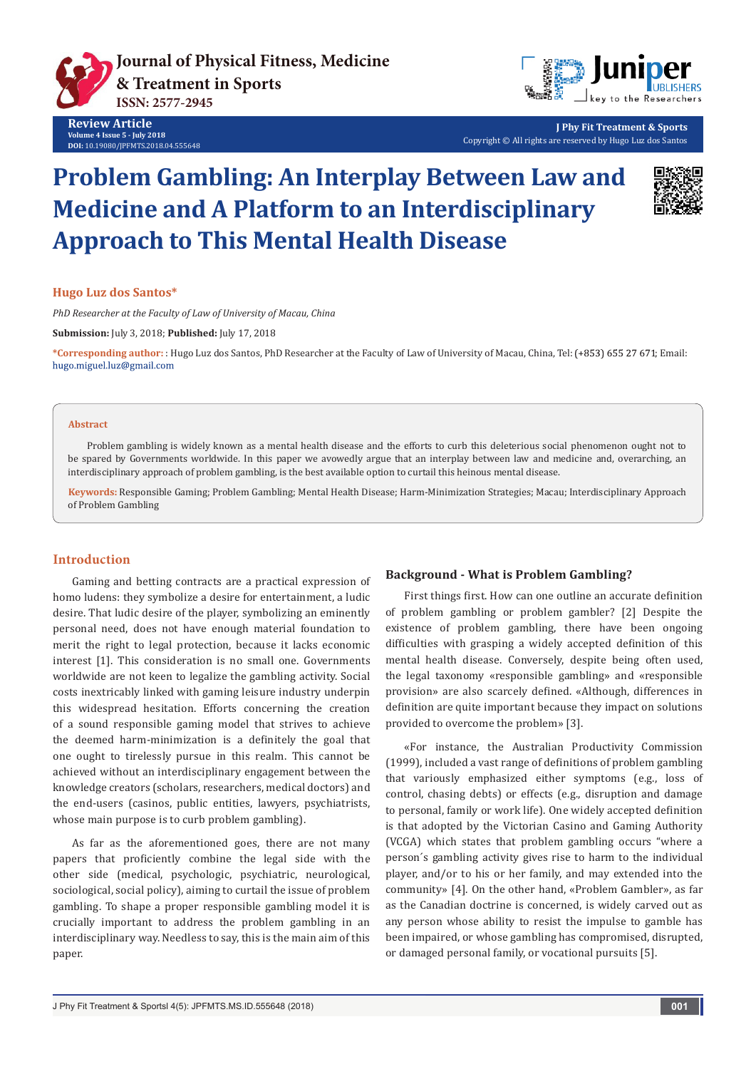



**J Phy Fit Treatment & Sports** Copyright © All rights are reserved by Hugo Luz dos Santos

# **Problem Gambling: An Interplay Between Law and Medicine and A Platform to an Interdisciplinary Approach to This Mental Health Disease**



#### **Hugo Luz dos Santos\***

*PhD Researcher at the Faculty of Law of University of Macau, China*

**Submission:** July 3, 2018; **Published:** July 17, 2018

\*Corresponding author: : Hugo Luz dos Santos, PhD Researcher at the Faculty of Law of University of Macau, China, Tel: (+853) 655 27 671; Email: hugo.miguel.luz@gmail.com

#### **Abstract**

Problem gambling is widely known as a mental health disease and the efforts to curb this deleterious social phenomenon ought not to be spared by Governments worldwide. In this paper we avowedly argue that an interplay between law and medicine and, overarching, an interdisciplinary approach of problem gambling, is the best available option to curtail this heinous mental disease.

**Keywords:** Responsible Gaming; Problem Gambling; Mental Health Disease; Harm-Minimization Strategies; Macau; Interdisciplinary Approach of Problem Gambling

## **Introduction**

Gaming and betting contracts are a practical expression of homo ludens: they symbolize a desire for entertainment, a ludic desire. That ludic desire of the player, symbolizing an eminently personal need, does not have enough material foundation to merit the right to legal protection, because it lacks economic interest [1]. This consideration is no small one. Governments worldwide are not keen to legalize the gambling activity. Social costs inextricably linked with gaming leisure industry underpin this widespread hesitation. Efforts concerning the creation of a sound responsible gaming model that strives to achieve the deemed harm-minimization is a definitely the goal that one ought to tirelessly pursue in this realm. This cannot be achieved without an interdisciplinary engagement between the knowledge creators (scholars, researchers, medical doctors) and the end-users (casinos, public entities, lawyers, psychiatrists, whose main purpose is to curb problem gambling).

As far as the aforementioned goes, there are not many papers that proficiently combine the legal side with the other side (medical, psychologic, psychiatric, neurological, sociological, social policy), aiming to curtail the issue of problem gambling. To shape a proper responsible gambling model it is crucially important to address the problem gambling in an interdisciplinary way. Needless to say, this is the main aim of this paper.

# **Background - What is Problem Gambling?**

First things first. How can one outline an accurate definition of problem gambling or problem gambler? [2] Despite the existence of problem gambling, there have been ongoing difficulties with grasping a widely accepted definition of this mental health disease. Conversely, despite being often used, the legal taxonomy «responsible gambling» and «responsible provision» are also scarcely defined. «Although, differences in definition are quite important because they impact on solutions provided to overcome the problem» [3].

«For instance, the Australian Productivity Commission (1999), included a vast range of definitions of problem gambling that variously emphasized either symptoms (e.g., loss of control, chasing debts) or effects (e.g., disruption and damage to personal, family or work life). One widely accepted definition is that adopted by the Victorian Casino and Gaming Authority (VCGA) which states that problem gambling occurs "where a person´s gambling activity gives rise to harm to the individual player, and/or to his or her family, and may extended into the community» [4]. On the other hand, «Problem Gambler», as far as the Canadian doctrine is concerned, is widely carved out as any person whose ability to resist the impulse to gamble has been impaired, or whose gambling has compromised, disrupted, or damaged personal family, or vocational pursuits [5].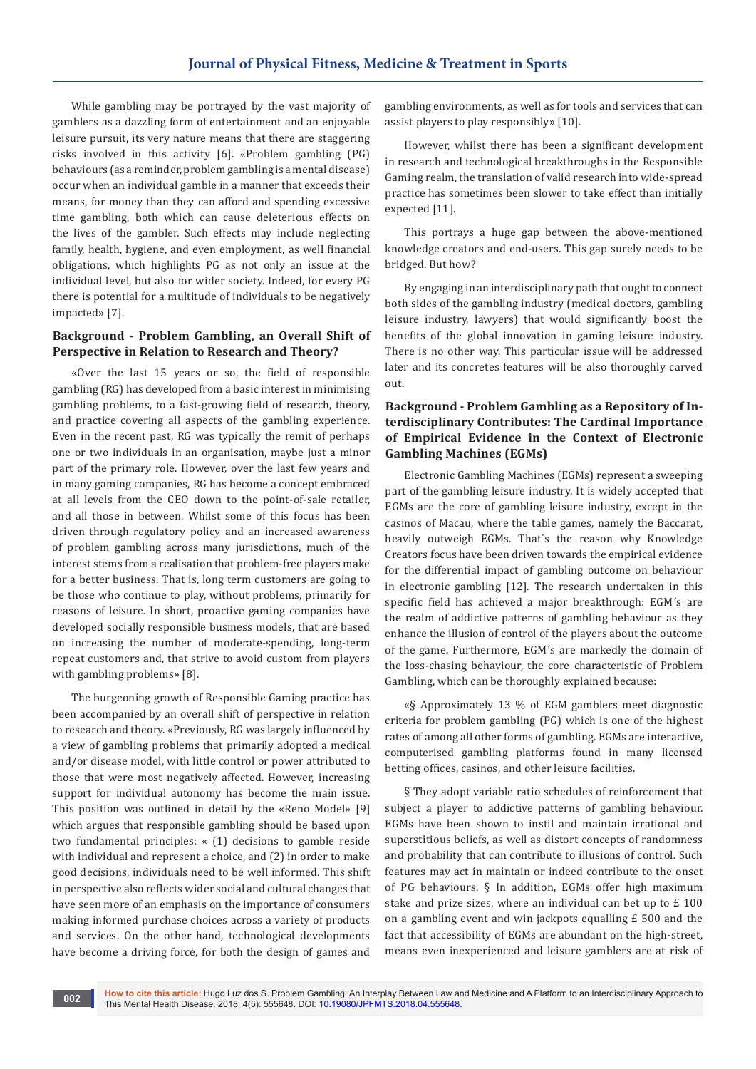While gambling may be portrayed by the vast majority of gamblers as a dazzling form of entertainment and an enjoyable leisure pursuit, its very nature means that there are staggering risks involved in this activity [6]. «Problem gambling (PG) behaviours (as a reminder, problem gambling is a mental disease) occur when an individual gamble in a manner that exceeds their means, for money than they can afford and spending excessive time gambling, both which can cause deleterious effects on the lives of the gambler. Such effects may include neglecting family, health, hygiene, and even employment, as well financial obligations, which highlights PG as not only an issue at the individual level, but also for wider society. Indeed, for every PG there is potential for a multitude of individuals to be negatively impacted» [7].

# **Background - Problem Gambling, an Overall Shift of Perspective in Relation to Research and Theory?**

«Over the last 15 years or so, the field of responsible gambling (RG) has developed from a basic interest in minimising gambling problems, to a fast-growing field of research, theory, and practice covering all aspects of the gambling experience. Even in the recent past, RG was typically the remit of perhaps one or two individuals in an organisation, maybe just a minor part of the primary role. However, over the last few years and in many gaming companies, RG has become a concept embraced at all levels from the CEO down to the point-of-sale retailer, and all those in between. Whilst some of this focus has been driven through regulatory policy and an increased awareness of problem gambling across many jurisdictions, much of the interest stems from a realisation that problem-free players make for a better business. That is, long term customers are going to be those who continue to play, without problems, primarily for reasons of leisure. In short, proactive gaming companies have developed socially responsible business models, that are based on increasing the number of moderate-spending, long-term repeat customers and, that strive to avoid custom from players with gambling problems» [8].

The burgeoning growth of Responsible Gaming practice has been accompanied by an overall shift of perspective in relation to research and theory. «Previously, RG was largely influenced by a view of gambling problems that primarily adopted a medical and/or disease model, with little control or power attributed to those that were most negatively affected. However, increasing support for individual autonomy has become the main issue. This position was outlined in detail by the «Reno Model» [9] which argues that responsible gambling should be based upon two fundamental principles: « (1) decisions to gamble reside with individual and represent a choice, and (2) in order to make good decisions, individuals need to be well informed. This shift in perspective also reflects wider social and cultural changes that have seen more of an emphasis on the importance of consumers making informed purchase choices across a variety of products and services. On the other hand, technological developments have become a driving force, for both the design of games and

gambling environments, as well as for tools and services that can assist players to play responsibly» [10].

However, whilst there has been a significant development in research and technological breakthroughs in the Responsible Gaming realm, the translation of valid research into wide-spread practice has sometimes been slower to take effect than initially expected [11].

This portrays a huge gap between the above-mentioned knowledge creators and end-users. This gap surely needs to be bridged. But how?

By engaging in an interdisciplinary path that ought to connect both sides of the gambling industry (medical doctors, gambling leisure industry, lawyers) that would significantly boost the benefits of the global innovation in gaming leisure industry. There is no other way. This particular issue will be addressed later and its concretes features will be also thoroughly carved out.

# **Background - Problem Gambling as a Repository of Interdisciplinary Contributes: The Cardinal Importance of Empirical Evidence in the Context of Electronic Gambling Machines (EGMs)**

Electronic Gambling Machines (EGMs) represent a sweeping part of the gambling leisure industry. It is widely accepted that EGMs are the core of gambling leisure industry, except in the casinos of Macau, where the table games, namely the Baccarat, heavily outweigh EGMs. That´s the reason why Knowledge Creators focus have been driven towards the empirical evidence for the differential impact of gambling outcome on behaviour in electronic gambling [12]. The research undertaken in this specific field has achieved a major breakthrough: EGM´s are the realm of addictive patterns of gambling behaviour as they enhance the illusion of control of the players about the outcome of the game. Furthermore, EGM´s are markedly the domain of the loss-chasing behaviour, the core characteristic of Problem Gambling, which can be thoroughly explained because:

«§ Approximately 13 % of EGM gamblers meet diagnostic criteria for problem gambling (PG) which is one of the highest rates of among all other forms of gambling. EGMs are interactive, computerised gambling platforms found in many licensed betting offices, casinos, and other leisure facilities.

§ They adopt variable ratio schedules of reinforcement that subject a player to addictive patterns of gambling behaviour. EGMs have been shown to instil and maintain irrational and superstitious beliefs, as well as distort concepts of randomness and probability that can contribute to illusions of control. Such features may act in maintain or indeed contribute to the onset of PG behaviours. § In addition, EGMs offer high maximum stake and prize sizes, where an individual can bet up to £ 100 on a gambling event and win jackpots equalling £ 500 and the fact that accessibility of EGMs are abundant on the high-street, means even inexperienced and leisure gamblers are at risk of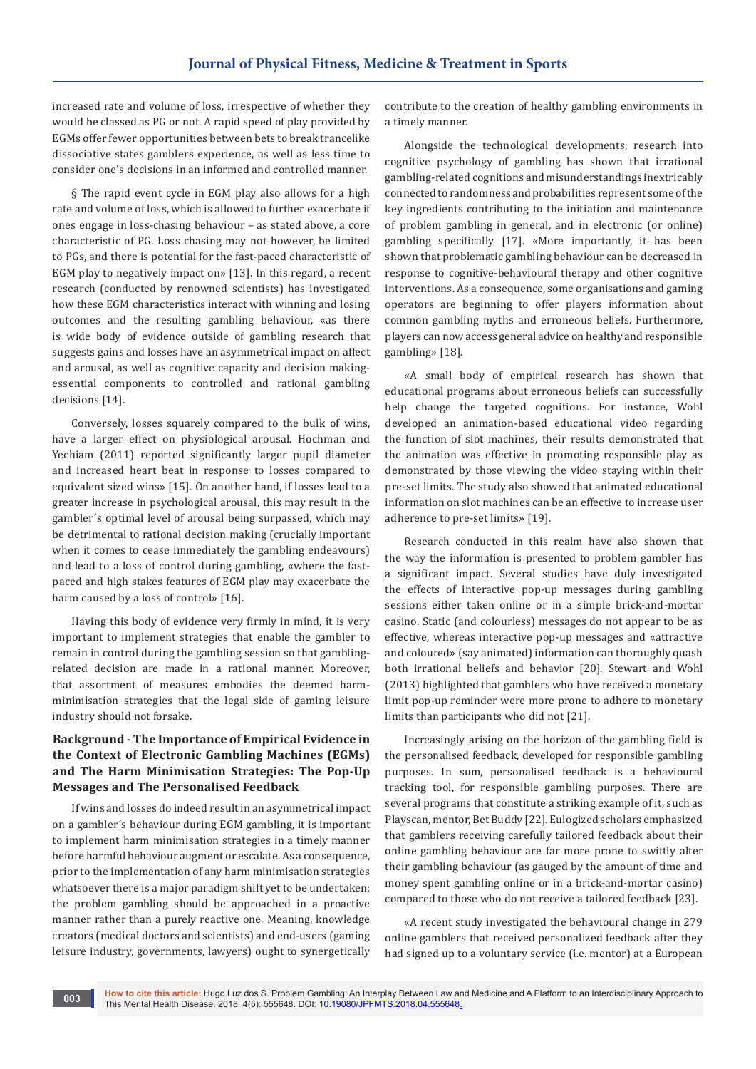increased rate and volume of loss, irrespective of whether they would be classed as PG or not. A rapid speed of play provided by EGMs offer fewer opportunities between bets to break trancelike dissociative states gamblers experience, as well as less time to consider one's decisions in an informed and controlled manner.

§ The rapid event cycle in EGM play also allows for a high rate and volume of loss, which is allowed to further exacerbate if ones engage in loss-chasing behaviour – as stated above, a core characteristic of PG. Loss chasing may not however, be limited to PGs, and there is potential for the fast-paced characteristic of EGM play to negatively impact on» [13]. In this regard, a recent research (conducted by renowned scientists) has investigated how these EGM characteristics interact with winning and losing outcomes and the resulting gambling behaviour, «as there is wide body of evidence outside of gambling research that suggests gains and losses have an asymmetrical impact on affect and arousal, as well as cognitive capacity and decision makingessential components to controlled and rational gambling decisions [14].

Conversely, losses squarely compared to the bulk of wins, have a larger effect on physiological arousal. Hochman and Yechiam (2011) reported significantly larger pupil diameter and increased heart beat in response to losses compared to equivalent sized wins» [15]. On another hand, if losses lead to a greater increase in psychological arousal, this may result in the gambler´s optimal level of arousal being surpassed, which may be detrimental to rational decision making (crucially important when it comes to cease immediately the gambling endeavours) and lead to a loss of control during gambling, «where the fastpaced and high stakes features of EGM play may exacerbate the harm caused by a loss of control» [16].

Having this body of evidence very firmly in mind, it is very important to implement strategies that enable the gambler to remain in control during the gambling session so that gamblingrelated decision are made in a rational manner. Moreover, that assortment of measures embodies the deemed harmminimisation strategies that the legal side of gaming leisure industry should not forsake.

# **Background - The Importance of Empirical Evidence in the Context of Electronic Gambling Machines (EGMs) and The Harm Minimisation Strategies: The Pop-Up Messages and The Personalised Feedback**

If wins and losses do indeed result in an asymmetrical impact on a gambler´s behaviour during EGM gambling, it is important to implement harm minimisation strategies in a timely manner before harmful behaviour augment or escalate. As a consequence, prior to the implementation of any harm minimisation strategies whatsoever there is a major paradigm shift yet to be undertaken: the problem gambling should be approached in a proactive manner rather than a purely reactive one. Meaning, knowledge creators (medical doctors and scientists) and end-users (gaming leisure industry, governments, lawyers) ought to synergetically

contribute to the creation of healthy gambling environments in a timely manner.

Alongside the technological developments, research into cognitive psychology of gambling has shown that irrational gambling-related cognitions and misunderstandings inextricably connected to randomness and probabilities represent some of the key ingredients contributing to the initiation and maintenance of problem gambling in general, and in electronic (or online) gambling specifically [17]. «More importantly, it has been shown that problematic gambling behaviour can be decreased in response to cognitive-behavioural therapy and other cognitive interventions. As a consequence, some organisations and gaming operators are beginning to offer players information about common gambling myths and erroneous beliefs. Furthermore, players can now access general advice on healthy and responsible gambling» [18].

«A small body of empirical research has shown that educational programs about erroneous beliefs can successfully help change the targeted cognitions. For instance, Wohl developed an animation-based educational video regarding the function of slot machines, their results demonstrated that the animation was effective in promoting responsible play as demonstrated by those viewing the video staying within their pre-set limits. The study also showed that animated educational information on slot machines can be an effective to increase user adherence to pre-set limits» [19].

Research conducted in this realm have also shown that the way the information is presented to problem gambler has a significant impact. Several studies have duly investigated the effects of interactive pop-up messages during gambling sessions either taken online or in a simple brick-and-mortar casino. Static (and colourless) messages do not appear to be as effective, whereas interactive pop-up messages and «attractive and coloured» (say animated) information can thoroughly quash both irrational beliefs and behavior [20]. Stewart and Wohl (2013) highlighted that gamblers who have received a monetary limit pop-up reminder were more prone to adhere to monetary limits than participants who did not [21].

Increasingly arising on the horizon of the gambling field is the personalised feedback, developed for responsible gambling purposes. In sum, personalised feedback is a behavioural tracking tool, for responsible gambling purposes. There are several programs that constitute a striking example of it, such as Playscan, mentor, Bet Buddy [22]. Eulogized scholars emphasized that gamblers receiving carefully tailored feedback about their online gambling behaviour are far more prone to swiftly alter their gambling behaviour (as gauged by the amount of time and money spent gambling online or in a brick-and-mortar casino) compared to those who do not receive a tailored feedback [23].

«A recent study investigated the behavioural change in 279 online gamblers that received personalized feedback after they had signed up to a voluntary service (i.e. mentor) at a European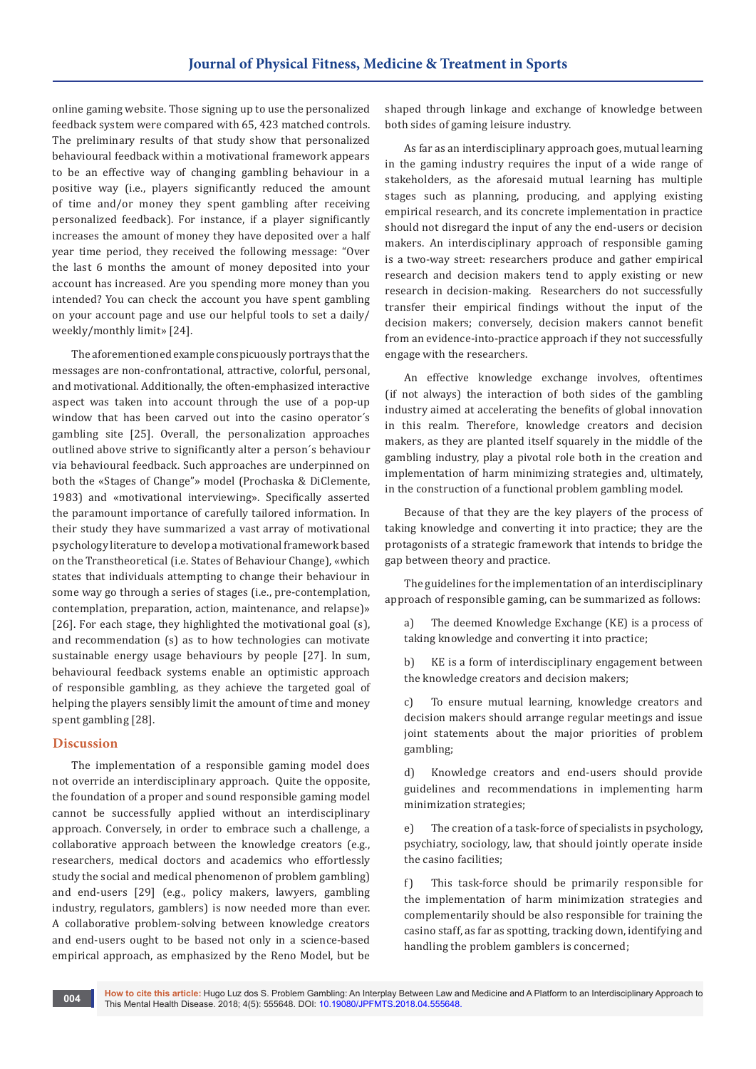online gaming website. Those signing up to use the personalized feedback system were compared with 65, 423 matched controls. The preliminary results of that study show that personalized behavioural feedback within a motivational framework appears to be an effective way of changing gambling behaviour in a positive way (i.e., players significantly reduced the amount of time and/or money they spent gambling after receiving personalized feedback). For instance, if a player significantly increases the amount of money they have deposited over a half year time period, they received the following message: "Over the last 6 months the amount of money deposited into your account has increased. Are you spending more money than you intended? You can check the account you have spent gambling on your account page and use our helpful tools to set a daily/ weekly/monthly limit» [24].

The aforementioned example conspicuously portrays that the messages are non-confrontational, attractive, colorful, personal, and motivational. Additionally, the often-emphasized interactive aspect was taken into account through the use of a pop-up window that has been carved out into the casino operator´s gambling site [25]. Overall, the personalization approaches outlined above strive to significantly alter a person´s behaviour via behavioural feedback. Such approaches are underpinned on both the «Stages of Change"» model (Prochaska & DiClemente, 1983) and «motivational interviewing». Specifically asserted the paramount importance of carefully tailored information. In their study they have summarized a vast array of motivational psychology literature to develop a motivational framework based on the Transtheoretical (i.e. States of Behaviour Change), «which states that individuals attempting to change their behaviour in some way go through a series of stages (i.e., pre-contemplation, contemplation, preparation, action, maintenance, and relapse)» [26]. For each stage, they highlighted the motivational goal (s), and recommendation (s) as to how technologies can motivate sustainable energy usage behaviours by people [27]. In sum, behavioural feedback systems enable an optimistic approach of responsible gambling, as they achieve the targeted goal of helping the players sensibly limit the amount of time and money spent gambling [28].

## **Discussion**

The implementation of a responsible gaming model does not override an interdisciplinary approach. Quite the opposite, the foundation of a proper and sound responsible gaming model cannot be successfully applied without an interdisciplinary approach. Conversely, in order to embrace such a challenge, a collaborative approach between the knowledge creators (e.g., researchers, medical doctors and academics who effortlessly study the social and medical phenomenon of problem gambling) and end-users [29] (e.g., policy makers, lawyers, gambling industry, regulators, gamblers) is now needed more than ever. A collaborative problem-solving between knowledge creators and end-users ought to be based not only in a science-based empirical approach, as emphasized by the Reno Model, but be

shaped through linkage and exchange of knowledge between both sides of gaming leisure industry.

As far as an interdisciplinary approach goes, mutual learning in the gaming industry requires the input of a wide range of stakeholders, as the aforesaid mutual learning has multiple stages such as planning, producing, and applying existing empirical research, and its concrete implementation in practice should not disregard the input of any the end-users or decision makers. An interdisciplinary approach of responsible gaming is a two-way street: researchers produce and gather empirical research and decision makers tend to apply existing or new research in decision-making. Researchers do not successfully transfer their empirical findings without the input of the decision makers; conversely, decision makers cannot benefit from an evidence-into-practice approach if they not successfully engage with the researchers.

An effective knowledge exchange involves, oftentimes (if not always) the interaction of both sides of the gambling industry aimed at accelerating the benefits of global innovation in this realm. Therefore, knowledge creators and decision makers, as they are planted itself squarely in the middle of the gambling industry, play a pivotal role both in the creation and implementation of harm minimizing strategies and, ultimately, in the construction of a functional problem gambling model.

Because of that they are the key players of the process of taking knowledge and converting it into practice; they are the protagonists of a strategic framework that intends to bridge the gap between theory and practice.

The guidelines for the implementation of an interdisciplinary approach of responsible gaming, can be summarized as follows:

a) The deemed Knowledge Exchange (KE) is a process of taking knowledge and converting it into practice;

b) KE is a form of interdisciplinary engagement between the knowledge creators and decision makers;

c) To ensure mutual learning, knowledge creators and decision makers should arrange regular meetings and issue joint statements about the major priorities of problem gambling;

d) Knowledge creators and end-users should provide guidelines and recommendations in implementing harm minimization strategies;

e) The creation of a task-force of specialists in psychology, psychiatry, sociology, law, that should jointly operate inside the casino facilities;

f) This task-force should be primarily responsible for the implementation of harm minimization strategies and complementarily should be also responsible for training the casino staff, as far as spotting, tracking down, identifying and handling the problem gamblers is concerned;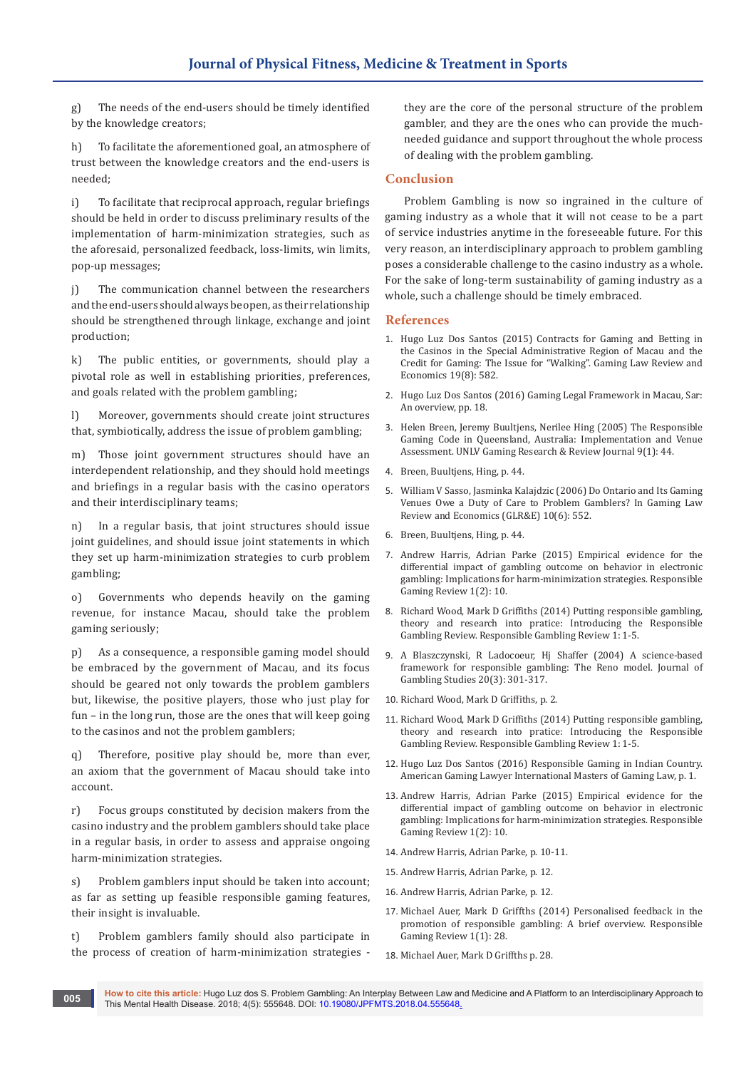g) The needs of the end-users should be timely identified by the knowledge creators;

h) To facilitate the aforementioned goal, an atmosphere of trust between the knowledge creators and the end-users is needed;

i) To facilitate that reciprocal approach, regular briefings should be held in order to discuss preliminary results of the implementation of harm-minimization strategies, such as the aforesaid, personalized feedback, loss-limits, win limits, pop-up messages;

j) The communication channel between the researchers and the end-users should always be open, as their relationship should be strengthened through linkage, exchange and joint production;

k) The public entities, or governments, should play a pivotal role as well in establishing priorities, preferences, and goals related with the problem gambling;

l) Moreover, governments should create joint structures that, symbiotically, address the issue of problem gambling;

m) Those joint government structures should have an interdependent relationship, and they should hold meetings and briefings in a regular basis with the casino operators and their interdisciplinary teams;

n) In a regular basis, that joint structures should issue joint guidelines, and should issue joint statements in which they set up harm-minimization strategies to curb problem gambling;

o) Governments who depends heavily on the gaming revenue, for instance Macau, should take the problem gaming seriously;

p) As a consequence, a responsible gaming model should be embraced by the government of Macau, and its focus should be geared not only towards the problem gamblers but, likewise, the positive players, those who just play for fun – in the long run, those are the ones that will keep going to the casinos and not the problem gamblers;

q) Therefore, positive play should be, more than ever, an axiom that the government of Macau should take into account.

r) Focus groups constituted by decision makers from the casino industry and the problem gamblers should take place in a regular basis, in order to assess and appraise ongoing harm-minimization strategies.

s) Problem gamblers input should be taken into account; as far as setting up feasible responsible gaming features, their insight is invaluable.

t) Problem gamblers family should also participate in the process of creation of harm-minimization strategies -

they are the core of the personal structure of the problem gambler, and they are the ones who can provide the muchneeded guidance and support throughout the whole process of dealing with the problem gambling.

# **Conclusion**

Problem Gambling is now so ingrained in the culture of gaming industry as a whole that it will not cease to be a part of service industries anytime in the foreseeable future. For this very reason, an interdisciplinary approach to problem gambling poses a considerable challenge to the casino industry as a whole. For the sake of long-term sustainability of gaming industry as a whole, such a challenge should be timely embraced.

#### **References**

- 1. [Hugo Luz Dos Santos \(2015\) Contracts for Gaming and Betting in](https://www.liebertpub.com/doi/abs/10.1089/glre.2015.1986)  [the Casinos in the Special Administrative Region of Macau and the](https://www.liebertpub.com/doi/abs/10.1089/glre.2015.1986)  [Credit for Gaming: The Issue for "Walking". Gaming Law Review and](https://www.liebertpub.com/doi/abs/10.1089/glre.2015.1986)  [Economics 19\(8\): 582.](https://www.liebertpub.com/doi/abs/10.1089/glre.2015.1986)
- 2. Hugo Luz Dos Santos (2016) Gaming Legal Framework in Macau, Sar: An overview, pp. 18.
- 3. Helen Breen, Jeremy Buultjens, Nerilee Hing (2005) The Responsible Gaming Code in Queensland, Australia: Implementation and Venue Assessment. UNLV Gaming Research & Review Journal 9(1): 44.
- 4. Breen, Buultjens, Hing, p. 44.
- 5. [William V Sasso, Jasminka Kalajdzic \(2006\) Do Ontario and Its Gaming](https://papers.ssrn.com/sol3/papers.cfm?abstract_id=1782075)  [Venues Owe a Duty of Care to Problem Gamblers? In Gaming Law](https://papers.ssrn.com/sol3/papers.cfm?abstract_id=1782075)  [Review and Economics \(GLR&E\) 10\(6\): 552.](https://papers.ssrn.com/sol3/papers.cfm?abstract_id=1782075)
- 6. Breen, Buultjens, Hing, p. 44.
- 7. [Andrew Harris, Adrian Parke \(2015\) Empirical evidence for the](http://eprints.lincoln.ac.uk/17024/)  [differential impact of gambling outcome on behavior in electronic](http://eprints.lincoln.ac.uk/17024/)  [gambling: Implications for harm-minimization strategies. Responsible](http://eprints.lincoln.ac.uk/17024/)  [Gaming Review 1\(2\): 10.](http://eprints.lincoln.ac.uk/17024/)
- 8. Richard Wood, Mark D Griffiths (2014) Putting responsible gambling, theory and research into pratice: Introducing the Responsible Gambling Review. Responsible Gambling Review 1: 1-5.
- 9. [A Blaszczynski, R Ladocoeur, Hj Shaffer \(2004\) A science-based](https://www.ncbi.nlm.nih.gov/pubmed/15353926)  [framework for responsible gambling: The Reno model. Journal of](https://www.ncbi.nlm.nih.gov/pubmed/15353926)  [Gambling Studies 20\(3\): 301-317.](https://www.ncbi.nlm.nih.gov/pubmed/15353926)
- 10. Richard Wood, Mark D Griffiths, p. 2.
- 11. Richard Wood, Mark D Griffiths (2014) Putting responsible gambling, theory and research into pratice: Introducing the Responsible Gambling Review. Responsible Gambling Review 1: 1-5.
- 12. [Hugo Luz Dos Santos \(2016\) Responsible Gaming in Indian Country.](https://www.imgl.org/sites/default/files/media/publications/responsiblegaminginindiancountry_hugoluzdossantos_agl_autumn2016.pdf)  [American Gaming Lawyer International Masters of Gaming Law, p. 1.](https://www.imgl.org/sites/default/files/media/publications/responsiblegaminginindiancountry_hugoluzdossantos_agl_autumn2016.pdf)
- 13. [Andrew Harris, Adrian Parke \(2015\) Empirical evidence for the](http://eprints.lincoln.ac.uk/17024/)  [differential impact of gambling outcome on behavior in electronic](http://eprints.lincoln.ac.uk/17024/)  [gambling: Implications for harm-minimization strategies. Responsible](http://eprints.lincoln.ac.uk/17024/)  [Gaming Review 1\(2\): 10.](http://eprints.lincoln.ac.uk/17024/)
- 14. Andrew Harris, Adrian Parke, p. 10-11.
- 15. Andrew Harris, Adrian Parke, p. 12.
- 16. Andrew Harris, Adrian Parke, p. 12.
- 17. [Michael Auer, Mark D Griffths \(2014\) Personalised feedback in the](https://www.researchgate.net/publication/307593939_Personalised_feedback_in_the_promotion_of_responsible_gambling_A_brief_overview)  [promotion of responsible gambling: A brief overview. Responsible](https://www.researchgate.net/publication/307593939_Personalised_feedback_in_the_promotion_of_responsible_gambling_A_brief_overview)  [Gaming Review 1\(1\): 28.](https://www.researchgate.net/publication/307593939_Personalised_feedback_in_the_promotion_of_responsible_gambling_A_brief_overview)
- 18. Michael Auer, Mark D Griffths p. 28.